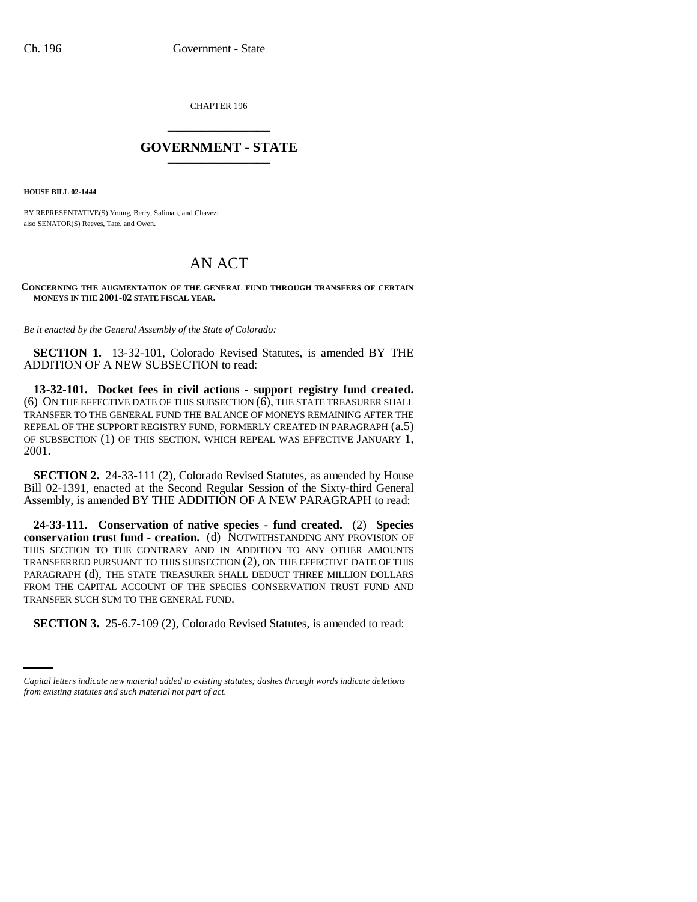CHAPTER 196 \_\_\_\_\_\_\_\_\_\_\_\_\_\_\_

## **GOVERNMENT - STATE** \_\_\_\_\_\_\_\_\_\_\_\_\_\_\_

**HOUSE BILL 02-1444**

BY REPRESENTATIVE(S) Young, Berry, Saliman, and Chavez; also SENATOR(S) Reeves, Tate, and Owen.

# AN ACT

#### **CONCERNING THE AUGMENTATION OF THE GENERAL FUND THROUGH TRANSFERS OF CERTAIN MONEYS IN THE 2001-02 STATE FISCAL YEAR.**

*Be it enacted by the General Assembly of the State of Colorado:*

**SECTION 1.** 13-32-101, Colorado Revised Statutes, is amended BY THE ADDITION OF A NEW SUBSECTION to read:

**13-32-101. Docket fees in civil actions - support registry fund created.** (6) ON THE EFFECTIVE DATE OF THIS SUBSECTION (6), THE STATE TREASURER SHALL TRANSFER TO THE GENERAL FUND THE BALANCE OF MONEYS REMAINING AFTER THE REPEAL OF THE SUPPORT REGISTRY FUND, FORMERLY CREATED IN PARAGRAPH (a.5) OF SUBSECTION (1) OF THIS SECTION, WHICH REPEAL WAS EFFECTIVE JANUARY 1, 2001.

**SECTION 2.** 24-33-111 (2), Colorado Revised Statutes, as amended by House Bill 02-1391, enacted at the Second Regular Session of the Sixty-third General Assembly, is amended BY THE ADDITION OF A NEW PARAGRAPH to read:

**24-33-111. Conservation of native species - fund created.** (2) **Species conservation trust fund - creation.** (d) NOTWITHSTANDING ANY PROVISION OF THIS SECTION TO THE CONTRARY AND IN ADDITION TO ANY OTHER AMOUNTS TRANSFERRED PURSUANT TO THIS SUBSECTION (2), ON THE EFFECTIVE DATE OF THIS PARAGRAPH (d), THE STATE TREASURER SHALL DEDUCT THREE MILLION DOLLARS FROM THE CAPITAL ACCOUNT OF THE SPECIES CONSERVATION TRUST FUND AND TRANSFER SUCH SUM TO THE GENERAL FUND.

**SECTION 3.** 25-6.7-109 (2), Colorado Revised Statutes, is amended to read:

*Capital letters indicate new material added to existing statutes; dashes through words indicate deletions from existing statutes and such material not part of act.*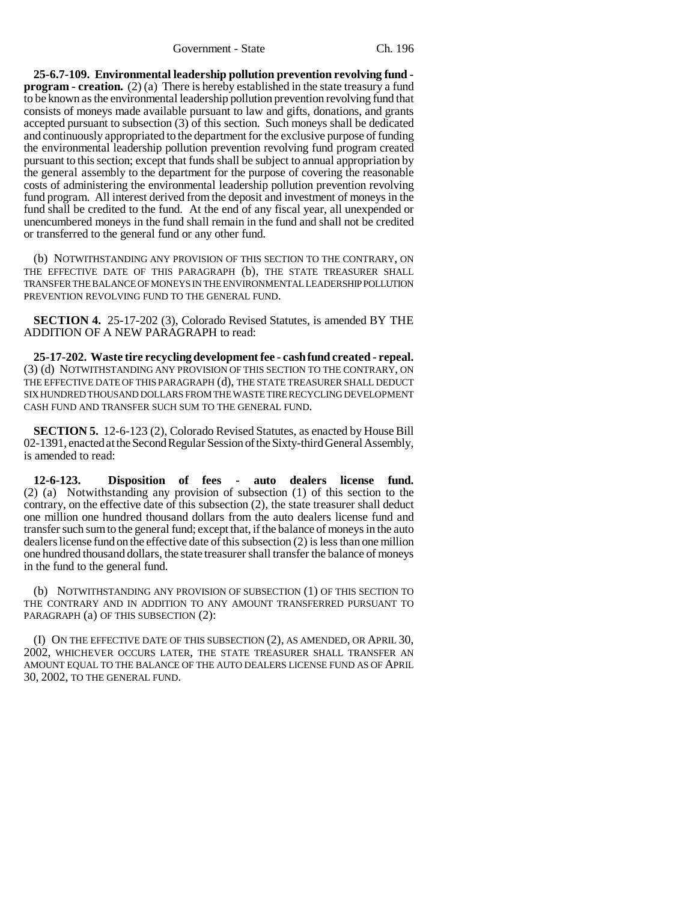**25-6.7-109. Environmental leadership pollution prevention revolving fund program - creation.** (2) (a) There is hereby established in the state treasury a fund to be known as the environmental leadership pollution prevention revolving fund that consists of moneys made available pursuant to law and gifts, donations, and grants accepted pursuant to subsection (3) of this section. Such moneys shall be dedicated and continuously appropriated to the department for the exclusive purpose of funding the environmental leadership pollution prevention revolving fund program created pursuant to this section; except that funds shall be subject to annual appropriation by the general assembly to the department for the purpose of covering the reasonable costs of administering the environmental leadership pollution prevention revolving fund program. All interest derived from the deposit and investment of moneys in the fund shall be credited to the fund. At the end of any fiscal year, all unexpended or unencumbered moneys in the fund shall remain in the fund and shall not be credited or transferred to the general fund or any other fund.

(b) NOTWITHSTANDING ANY PROVISION OF THIS SECTION TO THE CONTRARY, ON THE EFFECTIVE DATE OF THIS PARAGRAPH (b), THE STATE TREASURER SHALL TRANSFER THE BALANCE OF MONEYS IN THE ENVIRONMENTAL LEADERSHIP POLLUTION PREVENTION REVOLVING FUND TO THE GENERAL FUND.

**SECTION 4.** 25-17-202 (3), Colorado Revised Statutes, is amended BY THE ADDITION OF A NEW PARAGRAPH to read:

**25-17-202. Waste tire recycling development fee - cash fund created - repeal.** (3) (d) NOTWITHSTANDING ANY PROVISION OF THIS SECTION TO THE CONTRARY, ON THE EFFECTIVE DATE OF THIS PARAGRAPH (d), THE STATE TREASURER SHALL DEDUCT SIX HUNDRED THOUSAND DOLLARS FROM THE WASTE TIRE RECYCLING DEVELOPMENT CASH FUND AND TRANSFER SUCH SUM TO THE GENERAL FUND.

**SECTION 5.** 12-6-123 (2), Colorado Revised Statutes, as enacted by House Bill 02-1391, enacted at the Second Regular Session of the Sixty-third General Assembly, is amended to read:

**12-6-123. Disposition of fees - auto dealers license fund.** (2) (a) Notwithstanding any provision of subsection (1) of this section to the contrary, on the effective date of this subsection (2), the state treasurer shall deduct one million one hundred thousand dollars from the auto dealers license fund and transfer such sum to the general fund; except that, if the balance of moneys in the auto dealers license fund on the effective date of this subsection (2) is less than one million one hundred thousand dollars, the state treasurer shall transfer the balance of moneys in the fund to the general fund.

(b) NOTWITHSTANDING ANY PROVISION OF SUBSECTION (1) OF THIS SECTION TO THE CONTRARY AND IN ADDITION TO ANY AMOUNT TRANSFERRED PURSUANT TO PARAGRAPH (a) OF THIS SUBSECTION (2):

(I) ON THE EFFECTIVE DATE OF THIS SUBSECTION (2), AS AMENDED, OR APRIL 30, 2002, WHICHEVER OCCURS LATER, THE STATE TREASURER SHALL TRANSFER AN AMOUNT EQUAL TO THE BALANCE OF THE AUTO DEALERS LICENSE FUND AS OF APRIL 30, 2002, TO THE GENERAL FUND.